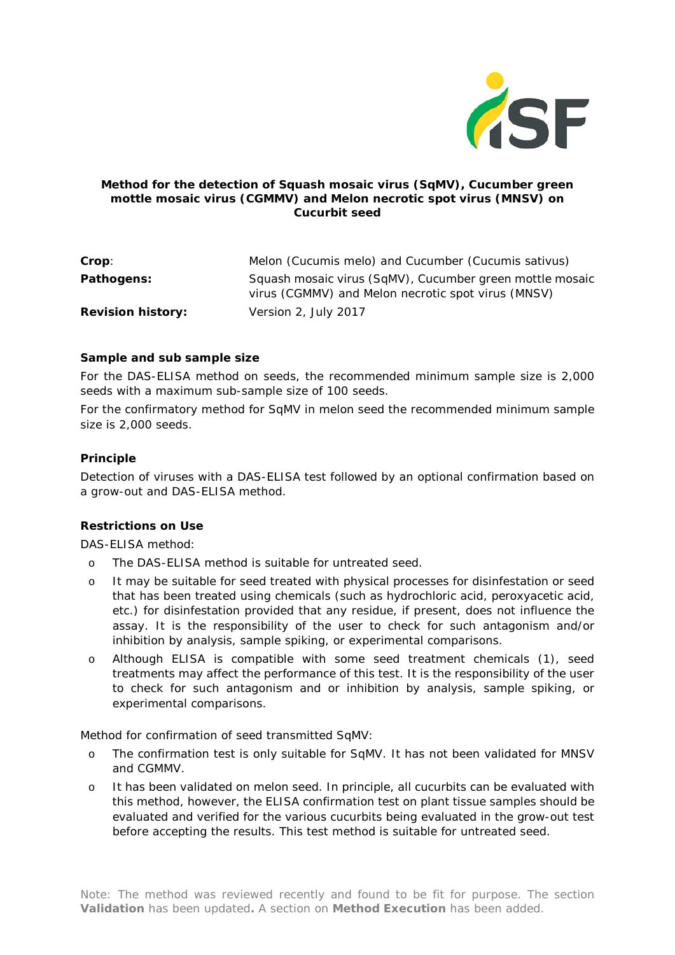

## **Method for the detection of** *Squash mosaic virus* **(SqMV),** *Cucumber green mottle mosaic virus* **(CGMMV) and** *Melon necrotic spot virus* **(MNSV) on Cucurbit seed**

| Crop:                    | Melon (Cucumis melo) and Cucumber (Cucumis sativus)                                                            |
|--------------------------|----------------------------------------------------------------------------------------------------------------|
| Pathogens:               | Squash mosaic virus (SqMV), Cucumber green mottle mosaic<br>virus (CGMMV) and Melon necrotic spot virus (MNSV) |
| <b>Revision history:</b> | Version 2, July 2017                                                                                           |

### **Sample and sub sample size**

For the DAS-ELISA method on seeds, the recommended minimum sample size is 2,000 seeds with a maximum sub-sample size of 100 seeds.

For the confirmatory method for SqMV in melon seed the recommended minimum sample size is 2,000 seeds.

#### **Principle**

Detection of viruses with a DAS-ELISA test followed by an optional confirmation based on a grow-out and DAS-ELISA method.

### **Restrictions on Use**

DAS-ELISA method:

- o The DAS-ELISA method is suitable for untreated seed.
- o It may be suitable for seed treated with physical processes for disinfestation or seed that has been treated using chemicals (such as hydrochloric acid, peroxyacetic acid, etc.) for disinfestation provided that any residue, if present, does not influence the assay. It is the responsibility of the user to check for such antagonism and/or inhibition by analysis, sample spiking, or experimental comparisons.
- o Although ELISA is compatible with some seed treatment chemicals (1), seed treatments may affect the performance of this test. It is the responsibility of the user to check for such antagonism and or inhibition by analysis, sample spiking, or experimental comparisons.

Method for confirmation of seed transmitted SqMV:

- o The confirmation test is only suitable for SqMV. It has not been validated for MNSV and CGMMV.
- o It has been validated on melon seed. In principle, all cucurbits can be evaluated with this method, however, the ELISA confirmation test on plant tissue samples should be evaluated and verified for the various cucurbits being evaluated in the grow-out test before accepting the results. This test method is suitable for untreated seed.